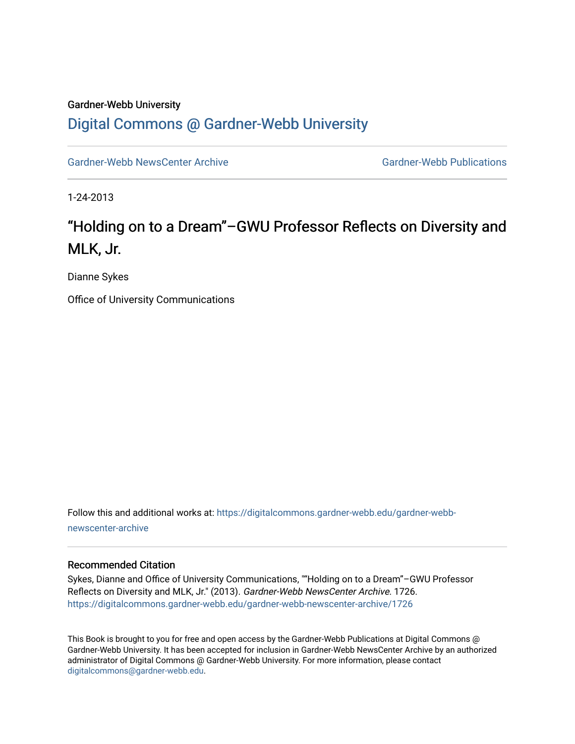### Gardner-Webb University

### [Digital Commons @ Gardner-Webb University](https://digitalcommons.gardner-webb.edu/)

[Gardner-Webb NewsCenter Archive](https://digitalcommons.gardner-webb.edu/gardner-webb-newscenter-archive) Gardner-Webb Publications

1-24-2013

## "Holding on to a Dream"–GWU Professor Reflects on Diversity and MLK, Jr.

Dianne Sykes

Office of University Communications

Follow this and additional works at: [https://digitalcommons.gardner-webb.edu/gardner-webb](https://digitalcommons.gardner-webb.edu/gardner-webb-newscenter-archive?utm_source=digitalcommons.gardner-webb.edu%2Fgardner-webb-newscenter-archive%2F1726&utm_medium=PDF&utm_campaign=PDFCoverPages)[newscenter-archive](https://digitalcommons.gardner-webb.edu/gardner-webb-newscenter-archive?utm_source=digitalcommons.gardner-webb.edu%2Fgardner-webb-newscenter-archive%2F1726&utm_medium=PDF&utm_campaign=PDFCoverPages)

### Recommended Citation

Sykes, Dianne and Office of University Communications, ""Holding on to a Dream"–GWU Professor Reflects on Diversity and MLK, Jr." (2013). Gardner-Webb NewsCenter Archive. 1726. [https://digitalcommons.gardner-webb.edu/gardner-webb-newscenter-archive/1726](https://digitalcommons.gardner-webb.edu/gardner-webb-newscenter-archive/1726?utm_source=digitalcommons.gardner-webb.edu%2Fgardner-webb-newscenter-archive%2F1726&utm_medium=PDF&utm_campaign=PDFCoverPages) 

This Book is brought to you for free and open access by the Gardner-Webb Publications at Digital Commons @ Gardner-Webb University. It has been accepted for inclusion in Gardner-Webb NewsCenter Archive by an authorized administrator of Digital Commons @ Gardner-Webb University. For more information, please contact [digitalcommons@gardner-webb.edu](mailto:digitalcommons@gardner-webb.edu).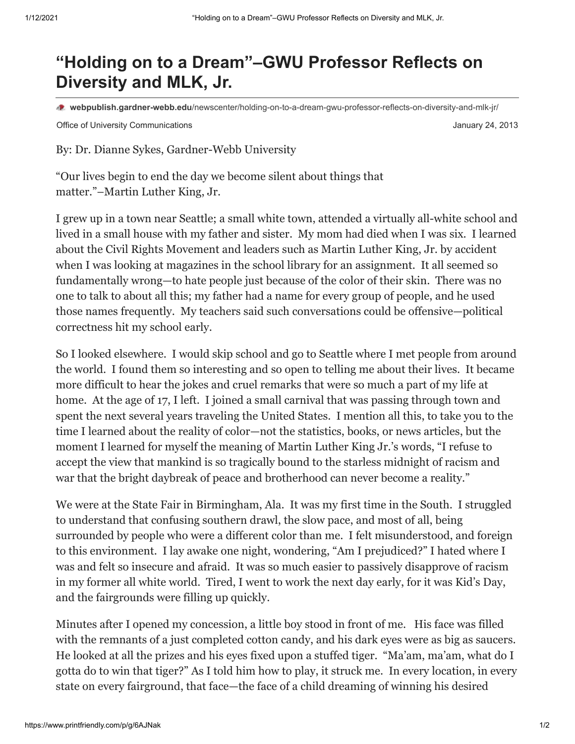# **"Holding on to a Dream"–GWU Professor Reflects on Diversity and MLK, Jr.**

**webpublish.gardner-webb.edu**[/newscenter/holding-on-to-a-dream-gwu-professor-reflects-on-diversity-and-mlk-jr/](https://webpublish.gardner-webb.edu/newscenter/holding-on-to-a-dream-gwu-professor-reflects-on-diversity-and-mlk-jr/)

Office of University Communications **Communications** January 24, 2013

By: Dr. Dianne Sykes, Gardner-Webb University

"Our lives begin to end the day we become silent about things that matter."–Martin Luther King, Jr.

I grew up in a town near Seattle; a small white town, attended a virtually all-white school and lived in a small house with my father and sister. My mom had died when I was six. I learned about the Civil Rights Movement and leaders such as Martin Luther King, Jr. by accident when I was looking at magazines in the school library for an assignment. It all seemed so fundamentally wrong—to hate people just because of the color of their skin. There was no one to talk to about all this; my father had a name for every group of people, and he used those names frequently. My teachers said such conversations could be offensive—political correctness hit my school early.

So I looked elsewhere. I would skip school and go to Seattle where I met people from around the world. I found them so interesting and so open to telling me about their lives. It became more difficult to hear the jokes and cruel remarks that were so much a part of my life at home. At the age of 17, I left. I joined a small carnival that was passing through town and spent the next several years traveling the United States. I mention all this, to take you to the time I learned about the reality of color—not the statistics, books, or news articles, but the moment I learned for myself the meaning of Martin Luther King Jr.'s words, "I refuse to accept the view that mankind is so tragically bound to the starless midnight of racism and war that the bright daybreak of peace and brotherhood can never become a reality."

We were at the State Fair in Birmingham, Ala. It was my first time in the South. I struggled to understand that confusing southern drawl, the slow pace, and most of all, being surrounded by people who were a different color than me. I felt misunderstood, and foreign to this environment. I lay awake one night, wondering, "Am I prejudiced?" I hated where I was and felt so insecure and afraid. It was so much easier to passively disapprove of racism in my former all white world. Tired, I went to work the next day early, for it was Kid's Day, and the fairgrounds were filling up quickly.

Minutes after I opened my concession, a little boy stood in front of me. His face was filled with the remnants of a just completed cotton candy, and his dark eyes were as big as saucers. He looked at all the prizes and his eyes fixed upon a stuffed tiger. "Ma'am, ma'am, what do I gotta do to win that tiger?" As I told him how to play, it struck me. In every location, in every state on every fairground, that face—the face of a child dreaming of winning his desired